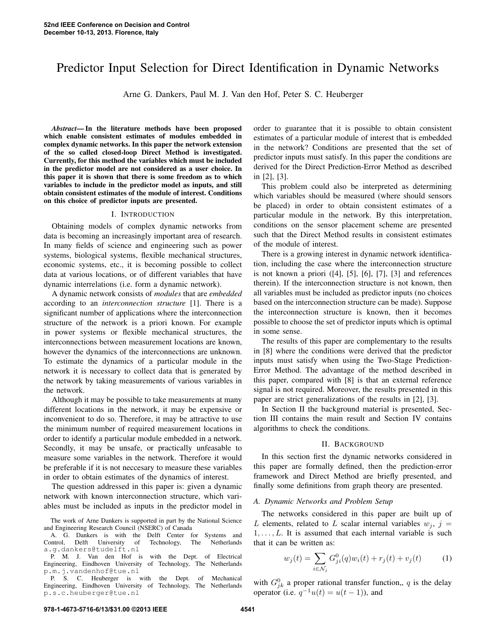# Predictor Input Selection for Direct Identification in Dynamic Networks

Arne G. Dankers, Paul M. J. Van den Hof, Peter S. C. Heuberger

*Abstract*— In the literature methods have been proposed which enable consistent estimates of modules embedded in complex dynamic networks. In this paper the network extension of the so called closed-loop Direct Method is investigated. Currently, for this method the variables which must be included in the predictor model are not considered as a user choice. In this paper it is shown that there is some freedom as to which variables to include in the predictor model as inputs, and still obtain consistent estimates of the module of interest. Conditions on this choice of predictor inputs are presented.

## I. INTRODUCTION

Obtaining models of complex dynamic networks from data is becoming an increasingly important area of research. In many fields of science and engineering such as power systems, biological systems, flexible mechanical structures, economic systems, etc., it is becoming possible to collect data at various locations, or of different variables that have dynamic interrelations (i.e. form a dynamic network).

A dynamic network consists of *modules* that are *embedded* according to an *interconnection structure* [1]. There is a significant number of applications where the interconnection structure of the network is a priori known. For example in power systems or flexible mechanical structures, the interconnections between measurement locations are known, however the dynamics of the interconnections are unknown. To estimate the dynamics of a particular module in the network it is necessary to collect data that is generated by the network by taking measurements of various variables in the network.

Although it may be possible to take measurements at many different locations in the network, it may be expensive or inconvenient to do so. Therefore, it may be attractive to use the minimum number of required measurement locations in order to identify a particular module embedded in a network. Secondly, it may be unsafe, or practically unfeasable to measure some variables in the network. Therefore it would be preferable if it is not neccesary to measure these variables in order to obtain estimates of the dynamics of interest.

The question addressed in this paper is: given a dynamic network with known interconnection structure, which variables must be included as inputs in the predictor model in

The work of Arne Dankers is supported in part by the National Science and Engineering Research Council (NSERC) of Canada

A. G. Dankers is with the Delft Center for Systems and Control, Delft University of Technology, The Netherlands a.g.dankers@tudelft.nl

P. M. J. Van den Hof is with the Dept. of Electrical Engineering, Eindhoven University of Technology, The Netherlands p.m.j.vandenhof@tue.nl

P. S. C. Heuberger is with the Dept. of Mechanical Engineering, Eindhoven University of Technology, The Netherlands p.s.c.heuberger@tue.nl

order to guarantee that it is possible to obtain consistent estimates of a particular module of interest that is embedded in the network? Conditions are presented that the set of predictor inputs must satisfy. In this paper the conditions are derived for the Direct Prediction-Error Method as described in [2], [3].

This problem could also be interpreted as determining which variables should be measured (where should sensors be placed) in order to obtain consistent estimates of a particular module in the network. By this interpretation, conditions on the sensor placement scheme are presented such that the Direct Method results in consistent estimates of the module of interest.

There is a growing interest in dynamic network identification, including the case where the interconnection structure is not known a priori  $([4], [5], [6], [7], [3]$  and references therein). If the interconnection structure is not known, then all variables must be included as predictor inputs (no choices based on the interconnection structure can be made). Suppose the interconnection structure is known, then it becomes possible to choose the set of predictor inputs which is optimal in some sense.

The results of this paper are complementary to the results in [8] where the conditions were derived that the predictor inputs must satisfy when using the Two-Stage Prediction-Error Method. The advantage of the method described in this paper, compared with [8] is that an external reference signal is not required. Moreover, the results presented in this paper are strict generalizations of the results in [2], [3].

In Section II the background material is presented, Section III contains the main result and Section IV contains algorithms to check the conditions.

## II. BACKGROUND

In this section first the dynamic networks considered in this paper are formally defined, then the prediction-error framework and Direct Method are briefly presented, and finally some definitions from graph theory are presented.

### *A. Dynamic Networks and Problem Setup*

The networks considered in this paper are built up of L elements, related to L scalar internal variables  $w_i$ ,  $j =$  $1, \ldots, L$ . It is assumed that each internal variable is such that it can be written as:

$$
w_j(t) = \sum_{i \in \mathcal{N}_j} G_{ji}^0(q) w_i(t) + r_j(t) + v_j(t)
$$
 (1)

with  $G_{jk}^0$  a proper rational transfer function,, q is the delay operator (i.e.  $q^{-1}u(t) = u(t-1)$ ), and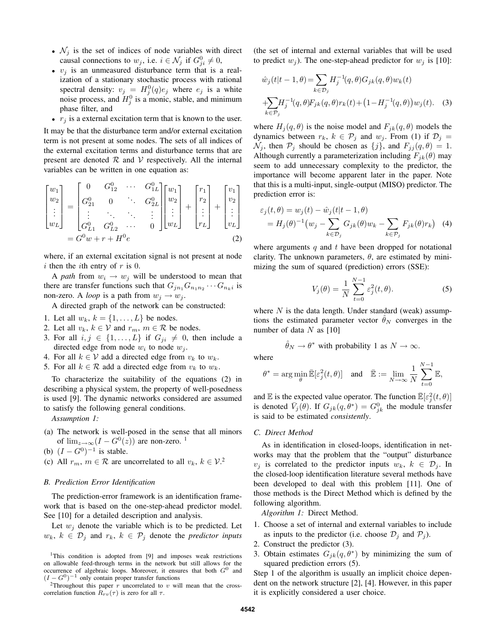- $\mathcal{N}_j$  is the set of indices of node variables with direct causal connections to  $w_j$ , i.e.  $i \in \mathcal{N}_j$  if  $G_{ji}^0 \neq 0$ ,
- $v_i$  is an unmeasured disturbance term that is a realization of a stationary stochastic process with rational spectral density:  $v_j = H_j^0(q)e_j$  where  $e_j$  is a white noise process, and  $H_j^0$  is a monic, stable, and minimum phase filter, and
- $r_i$  is a external excitation term that is known to the user.

It may be that the disturbance term and/or external excitation term is not present at some nodes. The sets of all indices of the external excitation terms and disturbance terms that are present are denoted  $R$  and  $V$  respectively. All the internal variables can be written in one equation as:

$$
\begin{bmatrix} w_1 \\ w_2 \\ \vdots \\ w_L \end{bmatrix} = \begin{bmatrix} 0 & G_{12}^0 & \cdots & G_{1L}^0 \\ G_{21}^0 & 0 & \ddots & G_{2L}^0 \\ \vdots & \ddots & \ddots & \vdots \\ G_{L1}^0 & G_{L2}^0 & \cdots & 0 \end{bmatrix} \begin{bmatrix} w_1 \\ w_2 \\ \vdots \\ w_L \end{bmatrix} + \begin{bmatrix} r_1 \\ r_2 \\ \vdots \\ r_L \end{bmatrix} + \begin{bmatrix} v_1 \\ v_2 \\ \vdots \\ v_L \end{bmatrix}
$$

$$
= G^0 w + r + H^0 e
$$
 (2)

where, if an external excitation signal is not present at node  $i$  then the *i*th entry of  $r$  is 0.

A *path* from  $w_i \rightarrow w_j$  will be understood to mean that there are transfer functions such that  $G_{j n_1} G_{n_1 n_2} \cdots G_{n_k i}$  is non-zero. A *loop* is a path from  $w_j \to w_j$ .

A directed graph of the network can be constructed:

- 1. Let all  $w_k$ ,  $k = \{1, \ldots, L\}$  be nodes.
- 2. Let all  $v_k$ ,  $k \in V$  and  $r_m$ ,  $m \in \mathcal{R}$  be nodes.
- 3. For all  $i, j \in \{1, \ldots, L\}$  if  $G_{ji} \neq 0$ , then include a directed edge from node  $w_i$  to node  $w_j$ .
- 4. For all  $k \in V$  add a directed edge from  $v_k$  to  $w_k$ .
- 5. For all  $k \in \mathcal{R}$  add a directed edge from  $v_k$  to  $w_k$ .

To characterize the suitability of the equations (2) in describing a physical system, the property of well-posedness is used [9]. The dynamic networks considered are assumed to satisfy the following general conditions.

*Assumption 1:*

- (a) The network is well-posed in the sense that all minors of  $\lim_{z\to\infty} (I - G^0(z))$  are non-zero. <sup>1</sup>
- (b)  $(I G^0)^{-1}$  is stable.
- (c) All  $r_m$ ,  $m \in \mathcal{R}$  are uncorrelated to all  $v_k$ ,  $k \in \mathcal{V}^2$ .

### *B. Prediction Error Identification*

The prediction-error framework is an identification framework that is based on the one-step-ahead predictor model. See [10] for a detailed description and analysis.

Let  $w_i$  denote the variable which is to be predicted. Let  $w_k, k \in \mathcal{D}_j$  and  $r_k, k \in \mathcal{P}_j$  denote the *predictor inputs* 

(the set of internal and external variables that will be used to predict  $w_j$ ). The one-step-ahead predictor for  $w_j$  is [10]:

$$
\hat{w}_j(t|t-1,\theta) = \sum_{k \in \mathcal{D}_j} H_j^{-1}(q,\theta) G_{jk}(q,\theta) w_k(t) \n+ \sum_{k \in \mathcal{P}_j} H_j^{-1}(q,\theta) F_{jk}(q,\theta) r_k(t) + (1 - H_j^{-1}(q,\theta)) w_j(t).
$$
\n(3)

where  $H_j(q, \theta)$  is the noise model and  $F_{jk}(q, \theta)$  models the dynamics between  $r_k$ ,  $k \in \mathcal{P}_j$  and  $w_j$ . From (1) if  $\mathcal{D}_j =$  $\mathcal{N}_j$ , then  $\mathcal{P}_j$  should be chosen as  $\{j\}$ , and  $F_{jj}(q, \theta) = 1$ . Although currently a parameterization including  $F_{jk}(\theta)$  may seem to add unnecessary complexity to the predictor, the importance will become apparent later in the paper. Note that this is a multi-input, single-output (MISO) predictor. The prediction error is:

$$
\varepsilon_j(t,\theta) = w_j(t) - \hat{w}_j(t|t-1,\theta)
$$
  
=  $H_j(\theta)^{-1}(w_j - \sum_{k \in \mathcal{D}_j} G_{jk}(\theta)w_k - \sum_{k \in \mathcal{P}_j} F_{jk}(\theta)r_k)$  (4)

where arguments q and t have been dropped for notational clarity. The unknown parameters,  $\theta$ , are estimated by minimizing the sum of squared (prediction) errors (SSE):

$$
V_j(\theta) = \frac{1}{N} \sum_{t=0}^{N-1} \varepsilon_j^2(t, \theta).
$$
 (5)

where  $N$  is the data length. Under standard (weak) assumptions the estimated parameter vector  $\hat{\theta}_N$  converges in the number of data  $N$  as [10]

$$
\hat{\theta}_N \to \theta^*
$$
 with probability 1 as  $N \to \infty$ .

where

$$
\theta^* = \arg\min_{\theta} \bar{\mathbb{E}}[\varepsilon_j^2(t,\theta)] \quad \text{and} \quad \bar{\mathbb{E}} := \lim_{N \to \infty} \frac{1}{N} \sum_{t=0}^{N-1} \mathbb{E},
$$

and E is the expected value operator. The function  $\mathbb{E}[\varepsilon_j^2(t,\theta)]$ is denoted  $\bar{V}_j(\theta)$ . If  $G_{jk}(q, \bar{\theta}^*) = G_{jk}^0$  the module transfer is said to be estimated *consistently*.

# *C. Direct Method*

As in identification in closed-loops, identification in networks may that the problem that the "output" disturbance  $v_i$  is correlated to the predictor inputs  $w_k$ ,  $k \in \mathcal{D}_i$ . In the closed-loop identification literature several methods have been developed to deal with this problem [11]. One of those methods is the Direct Method which is defined by the following algorithm.

*Algorithm 1:* Direct Method.

- 1. Choose a set of internal and external variables to include as inputs to the predictor (i.e. choose  $\mathcal{D}_i$  and  $\mathcal{P}_i$ ).
- 2. Construct the predictor (3).
- 3. Obtain estimates  $G_{jk}(q, \theta^*)$  by minimizing the sum of squared prediction errors (5).

Step 1 of the algorithm is usually an implicit choice dependent on the network structure [2], [4]. However, in this paper it is explicitly considered a user choice.

<sup>&</sup>lt;sup>1</sup>This condition is adopted from [9] and imposes weak restrictions on allowable feed-through terms in the network but still allows for the occurrence of algebraic loops. Moreover, it ensures that both  $G^0$  and  $(I - G<sup>0</sup>)<sup>-1</sup>$  only contain proper transfer functions

<sup>&</sup>lt;sup>2</sup>Throughout this paper  $r$  uncorrelated to  $v$  will mean that the crosscorrelation function  $R_{rv}(\tau)$  is zero for all  $\tau$ .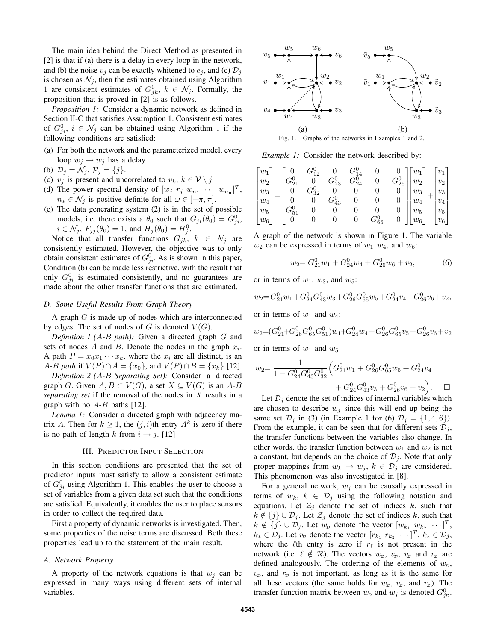The main idea behind the Direct Method as presented in [2] is that if (a) there is a delay in every loop in the network, and (b) the noise  $v_j$  can be exactly whitened to  $e_j$ , and (c)  $\mathcal{D}_j$ is chosen as  $\mathcal{N}_j$ , then the estimates obtained using Algorithm 1 are consistent estimates of  $G_{jk}^0$ ,  $k \in \mathcal{N}_j$ . Formally, the proposition that is proved in [2] is as follows.

*Proposition 1:* Consider a dynamic network as defined in Section II-C that satisfies Assumption 1. Consistent estimates of  $G_{ji}^0$ ,  $i \in \mathcal{N}_j$  can be obtained using Algorithm 1 if the following conditions are satisfied:

(a) For both the network and the parameterized model, every loop  $w_j \to w_j$  has a delay.

(b)  $\mathcal{D}_j = \mathcal{N}_j, \mathcal{P}_j = \{j\}.$ 

- (c)  $v_j$  is present and uncorrelated to  $v_k, k \in V \setminus j$
- (d) The power spectral density of  $[w_j \ r_j \ w_{n_1} \ \cdots \ w_{n_n}]^T$ ,  $n_* \in \mathcal{N}_j$  is positive definite for all  $\omega \in [-\pi, \pi]$ .
- (e) The data generating system (2) is in the set of possible models, i.e. there exists a  $\theta_0$  such that  $G_{ji}(\theta_0) = G_{ji}^0$ ,  $i \in \mathcal{N}_j$ ,  $F_{jj}(\theta_0) = 1$ , and  $H_j(\theta_0) = H_j^0$ .

Notice that all transfer functions  $G_{jk}$ ,  $k \in \mathcal{N}_j$  are consistently estimated. However, the objective was to only obtain consistent estimates of  $G_{ji}^0$ . As is shown in this paper, Condition (b) can be made less restrictive, with the result that only  $G_{ji}^0$  is estimated consistently, and no guarantees are made about the other transfer functions that are estimated.

# *D. Some Useful Results From Graph Theory*

A graph G is made up of nodes which are interconnected by edges. The set of nodes of G is denoted  $V(G)$ .

*Definition 1 (*A*-*B *path):* Given a directed graph G and sets of nodes  $A$  and  $B$ . Denote the nodes in the graph  $x_i$ . A path  $P = x_0 x_1 \cdots x_k$ , where the  $x_i$  are all distinct, is an *A*-*B path* if  $V(P) \cap A = \{x_0\}$ , and  $V(P) \cap B = \{x_k\}$  [12].

*Definition 2 (*A*-*B *Separating Set):* Consider a directed graph G. Given  $A, B \subset V(G)$ , a set  $X \subseteq V(G)$  is an A-B *separating set* if the removal of the nodes in X results in a graph with no  $A-B$  paths [12].

*Lemma 1:* Consider a directed graph with adjacency matrix A. Then for  $k \geq 1$ , the  $(j, i)$ th entry  $A^k$  is zero if there is no path of length k from  $i \rightarrow j$ . [12]

## III. PREDICTOR INPUT SELECTION

In this section conditions are presented that the set of predictor inputs must satisfy to allow a consistent estimate of  $G_{ji}^0$  using Algorithm 1. This enables the user to choose a set of variables from a given data set such that the conditions are satisfied. Equivalently, it enables the user to place sensors in order to collect the required data.

First a property of dynamic networks is investigated. Then, some properties of the noise terms are discussed. Both these properties lead up to the statement of the main result.

# *A. Network Property*

A property of the network equations is that  $w_j$  can be expressed in many ways using different sets of internal variables.



Fig. 1. Graphs of the networks in Examples 1 and 2.

*Example 1:* Consider the network described by:

| $\lceil w_1 \rceil$ |     |                  | $G_{12}^0$ |            | $G^0_{14}$ |            |                                                         |                     |     |                                                                           |  |
|---------------------|-----|------------------|------------|------------|------------|------------|---------------------------------------------------------|---------------------|-----|---------------------------------------------------------------------------|--|
| $ w_2 $             | $=$ | $G_{21}^0$       |            | $G_{23}^0$ | $G_{24}^0$ |            | $\begin{bmatrix} 0 \\ G_{26}^0 \\ \vdots \end{bmatrix}$ |                     |     |                                                                           |  |
| $ w_3 $             |     | $\boldsymbol{0}$ | $G^0_{32}$ |            |            |            |                                                         | $ w_3 $             |     |                                                                           |  |
| $ w_4 $             |     |                  |            | $G^0_{43}$ |            |            |                                                         | $w_4$               | $+$ |                                                                           |  |
| $ w_5 $             |     | $G_{51}^0$       |            |            |            |            |                                                         | $\lceil w_5 \rceil$ |     |                                                                           |  |
| $ w_6 $             |     |                  |            |            |            | $G_{65}^0$ |                                                         | $ w_6 $             |     | $\begin{bmatrix} v_1 \\ v_2 \\ v_3 \\ v_4 \\ v_5 \\ v_6 \\ \end{bmatrix}$ |  |

A graph of the network is shown in Figure 1. The variable  $w_2$  can be expressed in terms of  $w_1, w_4$ , and  $w_6$ :

$$
w_2 = G_{21}^0 w_1 + G_{24}^0 w_4 + G_{26}^0 w_6 + v_2, \tag{6}
$$

or in terms of  $w_1$ ,  $w_3$ , and  $w_5$ :

$$
w_2 = G_{21}^0 w_1 + G_{24}^0 G_{43}^0 w_3 + G_{26}^0 G_{65}^0 w_5 + G_{24}^0 v_4 + G_{26}^0 v_6 + v_2,
$$

or in terms of  $w_1$  and  $w_4$ :

$$
w_2 = (G_{21}^0 + G_{26}^0 G_{65}^0 G_{51}^0) w_1 + G_{24}^0 w_4 + G_{26}^0 G_{65}^0 v_5 + G_{26}^0 v_6 + v_2
$$

or in terms of  $w_1$  and  $w_5$ 

$$
w_2 = \frac{1}{1 - G_{24}^0 G_{43}^0 G_{32}^0} \Big( G_{21}^0 w_1 + G_{26}^0 G_{65}^0 w_5 + G_{24}^0 v_4 + G_{24}^0 G_{43}^0 v_3 + G_{26}^0 v_6 + v_2 \Big). \quad \Box
$$

Let  $\mathcal{D}_i$  denote the set of indices of internal variables which are chosen to describe  $w_j$  since this will end up being the same set  $\mathcal{D}_i$  in (3) (in Example 1 for (6)  $\mathcal{D}_i = \{1, 4, 6\}$ ). From the example, it can be seen that for different sets  $\mathcal{D}_i$ , the transfer functions between the variables also change. In other words, the transfer function between  $w_1$  and  $w_2$  is not a constant, but depends on the choice of  $\mathcal{D}_j$ . Note that only proper mappings from  $w_k \to w_j$ ,  $k \in \mathcal{D}_j$  are considered. This phenomenon was also investigated in [8].

For a general network,  $w_i$  can be causally expressed in terms of  $w_k$ ,  $k \in \mathcal{D}_j$  using the following notation and equations. Let  $\mathcal{Z}_i$  denote the set of indices k, such that  $k \notin \{j\} \cup \mathcal{D}_j$ . Let  $\mathcal{Z}_j$  denote the set of indices k, such that  $k \notin \{j\} \cup \mathcal{D}_j$ . Let  $w_{\mathcal{D}}$  denote the vector  $[w_{k_1} \ w_{k_2} \ \cdots]^T$ ,  $k_* \in \mathcal{D}_j$ . Let  $r_{\mathcal{D}}$  denote the vector  $[r_{k_1} \ r_{k_2} \ \cdots]^T$ ,  $k_* \in \mathcal{D}_j$ , where the  $\ell$ th entry is zero if  $r_\ell$  is not present in the network (i.e.  $\ell \notin \mathcal{R}$ ). The vectors  $w_z$ ,  $v_p$ ,  $v_z$  and  $r_z$  are defined analogously. The ordering of the elements of  $w<sub>p</sub>$ ,  $v<sub>D</sub>$ , and  $r<sub>D</sub>$  is not important, as long as it is the same for all these vectors (the same holds for  $w_z$ ,  $v_z$ , and  $r_z$ ). The transfer function matrix between  $w_p$  and  $w_j$  is denoted  $G_{j_p}^0$ .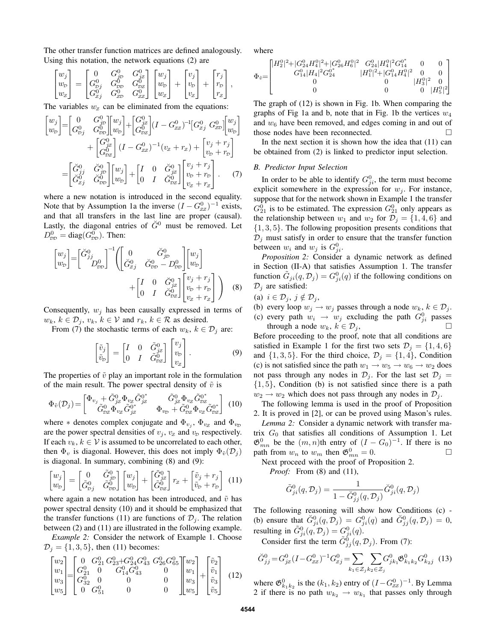The other transfer function matrices are defined analogously. Using this notation, the network equations (2) are

$$
\begin{bmatrix} w_j \\ w_p \\ w_z \end{bmatrix} = \begin{bmatrix} 0 & G_{j\mathcal{D}}^0 & G_{j\mathcal{Z}}^0 \\ G_{\mathcal{D}j}^0 & G_{\mathcal{D}\mathcal{D}}^0 & G_{\mathcal{D}\mathcal{Z}}^0 \\ G_{\mathcal{Z}j}^0 & G_{\mathcal{D}\mathcal{D}}^0 & G_{\mathcal{Z}\mathcal{Z}}^0 \end{bmatrix} \begin{bmatrix} w_j \\ w_p \\ w_z \end{bmatrix} + \begin{bmatrix} v_j \\ v_p \\ v_z \end{bmatrix} + \begin{bmatrix} r_j \\ r_p \\ r_z \end{bmatrix},
$$

The variables  $w_z$  can be eliminated from the equations:

$$
\begin{bmatrix} w_j \\ w_p \end{bmatrix} = \begin{bmatrix} 0 & G_{jp}^0 \\ G_{pj}^0 & G_{pp}^0 \end{bmatrix} \begin{bmatrix} w_j \\ w_p \end{bmatrix} + \begin{bmatrix} G_{jz}^0 \\ G_{pz}^0 \end{bmatrix} (I - G_{zz}^0)^{-1} \begin{bmatrix} G_{2j}^0 & G_{zp}^0 \end{bmatrix} \begin{bmatrix} w_j \\ w_p \end{bmatrix} + \begin{bmatrix} G_{pj}^0 \\ G_{pz}^0 \end{bmatrix} (I - G_{zz}^0)^{-1} (v_z + r_z) + \begin{bmatrix} v_j + r_j \\ v_p + r_p \end{bmatrix} = \begin{bmatrix} \breve{G}_{jj}^0 & \breve{G}_{jp}^0 \\ \breve{G}_{zj}^0 & \breve{G}_{pp}^0 \end{bmatrix} \begin{bmatrix} w_j \\ w_p \end{bmatrix} + \begin{bmatrix} I & 0 & \breve{G}_{jz}^0 \\ 0 & I & \breve{G}_{pz}^0 \end{bmatrix} \begin{bmatrix} v_j + r_j \\ v_p + r_p \\ v_z + r_z \end{bmatrix} . \tag{7}
$$

where a new notation is introduced in the second equality. Note that by Assumption 1a the inverse  $(I - G_{zz}^0)^{-1}$  exists, and that all transfers in the last line are proper (causal). Lastly, the diagonal entries of  $\check{G}^0$  must be removed. Let  $D^0_{\text{DD}} = \text{diag}(G^0_{\text{DD}})$ . Then:

$$
\begin{bmatrix} w_j \\ w_p \end{bmatrix} = \begin{bmatrix} \breve{G}_{jj}^0 \\ D_{\mathcal{D}\mathcal{D}}^0 \end{bmatrix}^{-1} \left( \begin{bmatrix} 0 & \breve{G}_{jp}^0 \\ \breve{G}_{zj}^0 & \breve{G}_{\mathcal{D}\mathcal{D}}^0 - D_{\mathcal{D}\mathcal{D}}^0 \end{bmatrix} \begin{bmatrix} w_j \\ w_p \end{bmatrix} + \begin{bmatrix} I & 0 & \breve{G}_{jz}^0 \\ 0 & I & \breve{G}_{\mathcal{D}z}^0 \end{bmatrix} \begin{bmatrix} v_j + r_j \\ v_p + r_p \\ v_z + r_z \end{bmatrix} \right) \quad (8)
$$

Consequently,  $w_j$  has been causally expressed in terms of  $w_k, k \in \mathcal{D}_j, v_k, k \in \mathcal{V}$  and  $r_k, k \in \mathcal{R}$  as desired.

From (7) the stochastic terms of each  $w_k$ ,  $k \in \mathcal{D}_j$  are:

$$
\begin{bmatrix} \tilde{v}_j \\ \tilde{v}_p \end{bmatrix} = \begin{bmatrix} I & 0 & \tilde{G}_{jz}^0 \\ 0 & I & \tilde{G}_{pz}^0 \end{bmatrix} \begin{bmatrix} v_j \\ v_p \\ v_z \end{bmatrix} . \tag{9}
$$

The properties of  $\tilde{v}$  play an important role in the formulation of the main result. The power spectral density of  $\tilde{v}$  is

$$
\Phi_{\tilde{v}}(\mathcal{D}_j) = \begin{bmatrix} \Phi_{v_j} + \tilde{G}_{jz}^0 \Phi_{vz} \tilde{G}_{jz}^{0^*} & \tilde{G}_{jz}^0 \Phi_{vz} \tilde{G}_{pz}^{0^*} \\ \tilde{G}_{pz}^0 \Phi_{vz} \tilde{G}_{jz}^{0^*} & \Phi_{vz} + \tilde{G}_{pz}^0 \Phi_{vz} \tilde{G}_{pz}^{0^*} \end{bmatrix} (10)
$$

where  $*$  denotes complex conjugate and  $\Phi_{v_j}$ ,  $\Phi_{v_z}$  and  $\Phi_{v_z}$ are the power spectral densities of  $v_j$ ,  $v_z$  and  $v_p$  respectively. If each  $v_k, k \in V$  is assumed to be uncorrelated to each other, then  $\Phi_v$  is diagonal. However, this does not imply  $\Phi_{\tilde{v}}(\mathcal{D}_i)$ is diagonal. In summary, combining (8) and (9):

$$
\begin{bmatrix} w_j \\ w_D \end{bmatrix} = \begin{bmatrix} 0 & \tilde{G}_{j\mathcal{D}}^0 \\ \tilde{G}_{\mathcal{D}j}^0 & \tilde{G}_{\mathcal{D}\mathcal{D}}^0 \end{bmatrix} \begin{bmatrix} w_j \\ w_D \end{bmatrix} + \begin{bmatrix} \tilde{G}_{j\mathcal{Z}}^0 \\ \tilde{G}_{\mathcal{D}\mathcal{Z}}^0 \end{bmatrix} r_{\mathcal{Z}} + \begin{bmatrix} \tilde{v}_j + r_j \\ \tilde{v}_D + r_D \end{bmatrix} \tag{11}
$$

where again a new notation has been introduced, and  $\tilde{v}$  has power spectral density (10) and it should be emphasized that the transfer functions (11) are functions of  $\mathcal{D}_i$ . The relation between (2) and (11) are illustrated in the following example.

*Example 2:* Consider the network of Example 1. Choose  $D_j = \{1, 3, 5\}$ , then (11) becomes:

$$
\begin{bmatrix} w_2 \\ w_1 \\ w_3 \\ w_4 \\ w_5 \end{bmatrix} = \begin{bmatrix} 0 & G_{21}^0 & G_{23}^0 + G_{24}^0 & G_{26}^0 & G_{65}^0 \\ G_{21}^0 & 0 & G_{14}^0 & G_{43}^0 & 0 \\ G_{32}^0 & 0 & 0 & 0 \\ 0 & G_{51}^0 & 0 & 0 \end{bmatrix} \begin{bmatrix} w_2 \\ w_1 \\ w_3 \\ w_5 \end{bmatrix} + \begin{bmatrix} \tilde{v}_2 \\ \tilde{v}_1 \\ \tilde{v}_3 \\ \tilde{v}_5 \end{bmatrix} \tag{12}
$$

where

$$
\Phi_{\bar{v}}\!\!=\!\!\begin{bmatrix} |H_2^0|^2\!\!+\!|G_{24}^0H_4^0|^2\!\!+\!|G_{26}^0H_6^0|^2\!-\!G_{24}^0|H_4^0|^2G_{14}^0&0&0\\ G_{14}^0|H_4|^2G_{24}^{0^*}&|H_1^0|^2\!\!+\!|G_{14}^0H_4^0|^2&0&0\\ 0&0&|H_3^0|^2&0\\ 0&0&0&|H_5^0|^2 \end{bmatrix}
$$

The graph of (12) is shown in Fig. 1b. When comparing the graphs of Fig 1a and b, note that in Fig. 1b the vertices  $w_4$ and  $w_6$  have been removed, and edges coming in and out of those nodes have been reconnected.

In the next section it is shown how the idea that (11) can be obtained from (2) is linked to predictor input selection.

## *B. Predictor Input Selection*

In order to be able to identify  $G_{ji}^0$ , the term must become explicit somewhere in the expression for  $w_i$ . For instance, suppose that for the network shown in Example 1 the transfer  $G_{21}^0$  is to be estimated. The expression  $G_{21}^0$  only appears as the relationship between  $w_1$  and  $w_2$  for  $\mathcal{D}_i = \{1, 4, 6\}$  and  $\{1, 3, 5\}$ . The following proposition presents conditions that  $\mathcal{D}_j$  must satisfy in order to ensure that the transfer function between  $w_i$  and  $w_j$  is  $G_{ji}^0$ .

*Proposition 2:* Consider a dynamic network as defined in Section (II-A) that satisfies Assumption 1. The transfer function  $\tilde{G}_{ji}(q, \mathcal{D}_j) = G_{ji}^0(q)$  if the following conditions on  $\mathcal{D}_i$  are satisfied:

- (a)  $i \in \mathcal{D}_j$ ,  $j \notin \mathcal{D}_j$ ,
- (b) every loop  $w_j \to w_j$  passes through a node  $w_k$ ,  $k \in \mathcal{D}_j$ .

(c) every path  $w_i \rightarrow w_j$  excluding the path  $G_{ji}^0$  passes through a node  $w_k$ ,  $k \in \mathcal{D}_j$ , Before proceeding to the proof, note that all conditions are satisfied in Example 1 for the first two sets  $\mathcal{D}_i = \{1, 4, 6\}$ and  $\{1, 3, 5\}$ . For the third choice,  $\mathcal{D}_j = \{1, 4\}$ , Condition (c) is not satisfied since the path  $w_1 \rightarrow w_5 \rightarrow w_6 \rightarrow w_2$  does not pass through any nodes in  $\mathcal{D}_i$ . For the last set  $\mathcal{D}_i$  =  $\{1, 5\}$ , Condition (b) is not satisfied since there is a path  $w_2 \rightarrow w_2$  which does not pass through any nodes in  $\mathcal{D}_i$ .

The following lemma is used in the proof of Proposition 2. It is proved in [2], or can be proved using Mason's rules.

*Lemma 2:* Consider a dynamic network with transfer matrix  $G_0$  that satisfies all conditions of Assumption 1. Let  $\mathfrak{G}_{mn}^0$  be the  $(m, n)$ th entry of  $(I - G_0)^{-1}$ . If there is no path from  $w_n$  to  $w_m$  then  $\mathfrak{G}_{mn}^0 = 0$ .

Next proceed with the proof of Proposition 2.

*Proof:* From (8) and (11),

$$
\tilde{G}_{ji}^0(q,\mathcal{D}_j) = \frac{1}{1-\breve{G}_{jj}^0(q,\mathcal{D}_j)} \breve{G}_{ji}^0(q,\mathcal{D}_j)
$$

The following reasoning will show how Conditions (c) - (b) ensure that  $\check{G}_{ji}^0(q,\mathcal{D}_j) = G_{ji}^0(q)$  and  $\check{G}_{jj}^0(q,\mathcal{D}_j) = 0$ , resulting in  $\tilde{G}_{ji}^0(q, \mathcal{D}_j) = G_{ji}^0(q)$ .

Consider first the term  $\tilde{G}_{jj}^{0}(q, \mathcal{D}_j)$ . From (7):

$$
\breve{G}_{jj}^{0} = G_{jz}^{0} (I - G_{zz}^{0})^{-1} G_{zj}^{0} = \sum_{k_{1} \in \mathcal{Z}_{j}} \sum_{k_{2} \in \mathcal{Z}_{j}} G_{j k_{1}}^{0} \mathfrak{G}_{k_{1} k_{2}}^{0} G_{k_{2} j}^{0} \tag{13}
$$

where  $\mathfrak{G}^0_{k_1 k_2}$  is the  $(k_1, k_2)$  entry of  $(I - G^0_{zz})^{-1}$ . By Lemma 2 if there is no path  $w_{k_2} \to w_{k_1}$  that passes only through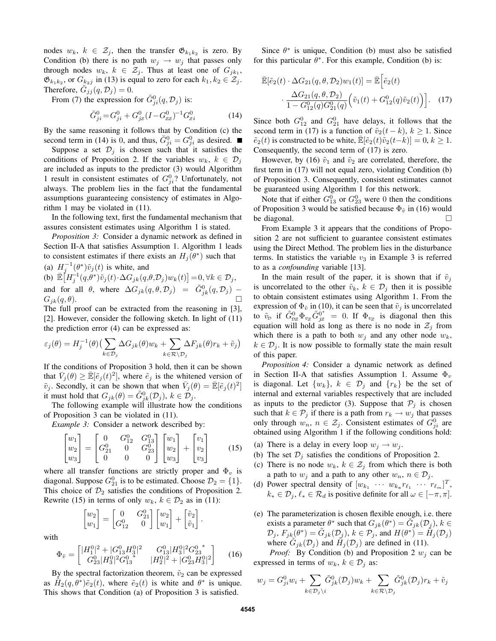nodes  $w_k$ ,  $k \in \mathcal{Z}_j$ , then the transfer  $\mathfrak{G}_{k_1k_2}$  is zero. By Condition (b) there is no path  $w_j \rightarrow w_j$  that passes only through nodes  $w_k$ ,  $k \in \mathcal{Z}_j$ . Thus at least one of  $G_{jk_1}$ ,  $\mathfrak{G}_{k_1k_2}$ , or  $G_{k_2j}$  in (13) is equal to zero for each  $k_1, k_2 \in \mathcal{Z}_j$ . Therefore,  $\check{G}_{jj}^{\prime}(q, \mathcal{D}_j) = 0$ .

From (7) the expression for  $\check{G}_{ji}^0(q, \mathcal{D}_j)$  is:

$$
\breve{G}_{ji}^{0} = G_{ji}^{0} + G_{jz}^{0} (I - G_{zz}^{0})^{-1} G_{zi}^{0}
$$
 (14)

By the same reasoning it follows that by Condition (c) the second term in (14) is 0, and thus,  $\check{G}_{ji}^0 = G_{ji}^0$  as desired.

Suppose a set  $\mathcal{D}_j$  is chosen such that it satisfies the conditions of Proposition 2. If the variables  $w_k$ ,  $k \in \mathcal{D}_j$ are included as inputs to the predictor (3) would Algorithm 1 result in consistent estimates of  $G_{ji}^0$ ? Unfortunately, not always. The problem lies in the fact that the fundamental assumptions guaranteeing consistency of estimates in Algorithm 1 may be violated in (11).

In the following text, first the fundamental mechanism that assures consistent estimates using Algorithm 1 is stated.

*Proposition 3:* Consider a dynamic network as defined in Section II-A that satisfies Assumption 1. Algorithm 1 leads to consistent estimates if there exists an  $H_j(\theta^*)$  such that

(a)  $H_j^{-1}(\theta^*)\tilde{v}_j(t)$  is white, and

(b) 
$$
\mathbb{E}\left[H_j^{-1}(q,\theta^*)\tilde{v}_j(t)\cdot\Delta G_{jk}(q,\theta,\mathcal{D}_j)w_k(t)\right]=0, \forall k \in \mathcal{D}_j,
$$

and for all  $\theta$ , where  $\Delta G_{jk}(q, \theta, \mathcal{D}_j) = \tilde{G}^0_{jk}(q, \mathcal{D}_j)$  –  $G_{ik}(q, \theta)$ .

The full proof can be extracted from the reasoning in [3], [2]. However, consider the following sketch. In light of (11) the prediction error (4) can be expressed as:

$$
\varepsilon_j(\theta) = H_j^{-1}(\theta) \Big( \sum_{k \in \mathcal{D}_j} \Delta G_{jk}(\theta) w_k + \sum_{k \in \mathcal{R} \setminus \mathcal{D}_j} \Delta F_{jk}(\theta) r_k + \tilde{v}_j \Big)
$$

If the conditions of Proposition 3 hold, then it can be shown that  $\bar{V}_j(\theta) \geq \bar{\mathbb{E}}[\tilde{e}_j(t)^2]$ , where  $\tilde{e}_j$  is the whitened version of  $\tilde{v}_j$ . Secondly, it can be shown that when  $\bar{V}_j(\theta) = \bar{\mathbb{E}}[\tilde{e}_j(t)^2]$ it must hold that  $G_{jk}(\theta) = \tilde{G}_{jk}^0(\mathcal{D}_j)$ ,  $k \in \mathcal{D}_j$ .

The following example will illustrate how the conditions of Proposition 3 can be violated in (11).

*Example 3:* Consider a network described by:

$$
\begin{bmatrix} w_1 \\ w_2 \\ w_3 \end{bmatrix} = \begin{bmatrix} 0 & G_{12}^0 & G_{13}^0 \\ G_{21}^0 & 0 & G_{23}^0 \\ 0 & 0 & 0 \end{bmatrix} \begin{bmatrix} w_1 \\ w_2 \\ w_3 \end{bmatrix} + \begin{bmatrix} v_1 \\ v_2 \\ v_3 \end{bmatrix}
$$
 (15)

where all transfer functions are strictly proper and  $\Phi_v$  is diagonal. Suppose  $G_{21}^0$  is to be estimated. Choose  $\mathcal{D}_2 = \{1\}$ . This choice of  $\mathcal{D}_2$  satisfies the conditions of Proposition 2. Rewrite (15) in terms of only  $w_k$ ,  $k \in \mathcal{D}_2$  as in (11):

$$
\begin{bmatrix} w_2 \\ w_1 \end{bmatrix} = \begin{bmatrix} 0 & G_{21}^0 \\ G_{12}^0 & 0 \end{bmatrix} \begin{bmatrix} w_2 \\ w_1 \end{bmatrix} + \begin{bmatrix} \tilde{v}_2 \\ \tilde{v}_1 \end{bmatrix}.
$$

with

$$
\Phi_{\tilde{v}} = \begin{bmatrix} |H_1^0|^2 + |G_{13}^0 H_3^0|^2 & G_{13}^0 |H_3^0|^2 G_{23}^0^* \\ G_{23}^0 |H_3^0|^2 G_{13}^0 & |H_2^0|^2 + |G_{23}^0 H_3^0|^2 \end{bmatrix} \tag{16}
$$

By the spectral factorization theorem,  $\tilde{v}_2$  can be expressed as  $\check{H}_2(q, \theta^*)\tilde{e}_2(t)$ , where  $\tilde{e}_2(t)$  is white and  $\theta^*$  is unique. This shows that Condition (a) of Proposition 3 is satisfied.

Since  $\theta^*$  is unique, Condition (b) must also be satisfied for this particular  $\theta^*$ . For this example, Condition (b) is:

$$
\bar{\mathbb{E}}[\tilde{e}_2(t) \cdot \Delta G_{21}(q, \theta, \mathcal{D}_2) w_1(t)] = \bar{\mathbb{E}}\Big[\tilde{e}_2(t) \cdot \frac{\Delta G_{21}(q, \theta, \mathcal{D}_2)}{1 - G_{12}^0(q)G_{21}^0(q)} \Big(\tilde{v}_1(t) + G_{12}^0(q)\tilde{v}_2(t)\Big)\Big].
$$
 (17)

Since both  $G_{12}^0$  and  $G_{21}^0$  have delays, it follows that the second term in (17) is a function of  $\tilde{v}_2(t-k)$ ,  $k \ge 1$ . Since  $\tilde{e}_2(t)$  is constructed to be white,  $\mathbb{E}[\tilde{e}_2(t)\tilde{v}_2(t-k)] = 0, k \ge 1$ . Consequently, the second term of (17) is zero.

However, by (16)  $\tilde{v}_1$  and  $\tilde{v}_2$  are correlated, therefore, the first term in (17) will not equal zero, violating Condition (b) of Proposition 3. Consequently, consistent estimates cannot be guaranteed using Algorithm 1 for this network.

Note that if either  $G_{13}^0$  or  $G_{23}^0$  were 0 then the conditions of Proposition 3 would be satisfied because  $\Phi_{\tilde{v}}$  in (16) would be diagonal.

From Example 3 it appears that the conditions of Proposition 2 are not sufficient to guarantee consistent estimates using the Direct Method. The problem lies in the disturbance terms. In statistics the variable  $v_3$  in Example 3 is referred to as a *confounding* variable [13].

In the main result of the paper, it is shown that if  $\tilde{v}_i$ is uncorrelated to the other  $\tilde{v}_k$ ,  $k \in \mathcal{D}_j$  then it is possible to obtain consistent estimates using Algorithm 1. From the expression of  $\Phi_{\tilde{v}}$  in (10), it can be seen that  $\tilde{v}_j$  is uncorrelated to  $\tilde{v}_D$  if  $\tilde{G}_{Dz}^0 \Phi_{vz} \tilde{G}_{jz}^{0^*} = 0$ . If  $\Phi_{vz}$  is diagonal then this equation will hold as long as there is no node in  $\mathcal{Z}_i$  from which there is a path to both  $w_j$  and any other node  $w_k$ ,  $k \in \mathcal{D}_i$ . It is now possible to formally state the main result of this paper.

*Proposition 4:* Consider a dynamic network as defined in Section II-A that satisfies Assumption 1. Assume  $\Phi_v$ is diagonal. Let  $\{w_k\}$ ,  $k \in \mathcal{D}_j$  and  $\{r_k\}$  be the set of internal and external variables respectively that are included as inputs to the predictor (3). Suppose that  $P_j$  is chosen such that  $k \in \mathcal{P}_j$  if there is a path from  $r_k \to w_j$  that passes only through  $w_n$ ,  $n \in \mathcal{Z}_j$ . Consistent estimates of  $G_{ji}^0$  are obtained using Algorithm 1 if the following conditions hold:

- (a) There is a delay in every loop  $w_j \to w_j$ .
- (b) The set  $\mathcal{D}_i$  satisfies the conditions of Proposition 2.
- (c) There is no node  $w_k$ ,  $k \in \mathcal{Z}_j$  from which there is both a path to  $w_j$  and a path to any other  $w_n$ ,  $n \in \mathcal{D}_j$ .
- (d) Power spectral density of  $[w_{k_1} \cdots w_{k_n} r_{\ell_1} \cdots r_{\ell_m}]^T$ ,  $k_* \in \mathcal{D}_j$ ,  $\ell_* \in \mathcal{R}_d$  is positive definite for all  $\omega \in [-\pi, \pi]$ .
- (e) The parameterization is chosen flexible enough, i.e. there exists a parameter  $\theta^*$  such that  $G_{jk}(\theta^*) = \tilde{G}_{jk}(\mathcal{D}_j)$ ,  $k \in$  $\mathcal{D}_j$ ,  $F_{jk}(\theta^*) = \tilde{G}_{jk}(\mathcal{D}_j)$ ,  $k \in \mathcal{P}_j$ , and  $H(\theta^*) = \tilde{H}_j(\mathcal{D}_j)$ where  $\tilde{G}_{jk}(\mathcal{D}_j)$  and  $\tilde{H}_j(\mathcal{D}_j)$  are defined in (11).

*Proof:* By Condition (b) and Proposition 2  $w_i$  can be expressed in terms of  $w_k$ ,  $k \in \mathcal{D}_j$  as:

$$
w_j = G_{ji}^0 w_i + \sum_{k \in \mathcal{D}_j \setminus i} \tilde{G}_{jk}^0(\mathcal{D}_j) w_k + \sum_{k \in \mathcal{R} \setminus \mathcal{D}_j} \tilde{G}_{jk}^0(\mathcal{D}_j) r_k + \tilde{v}_j
$$